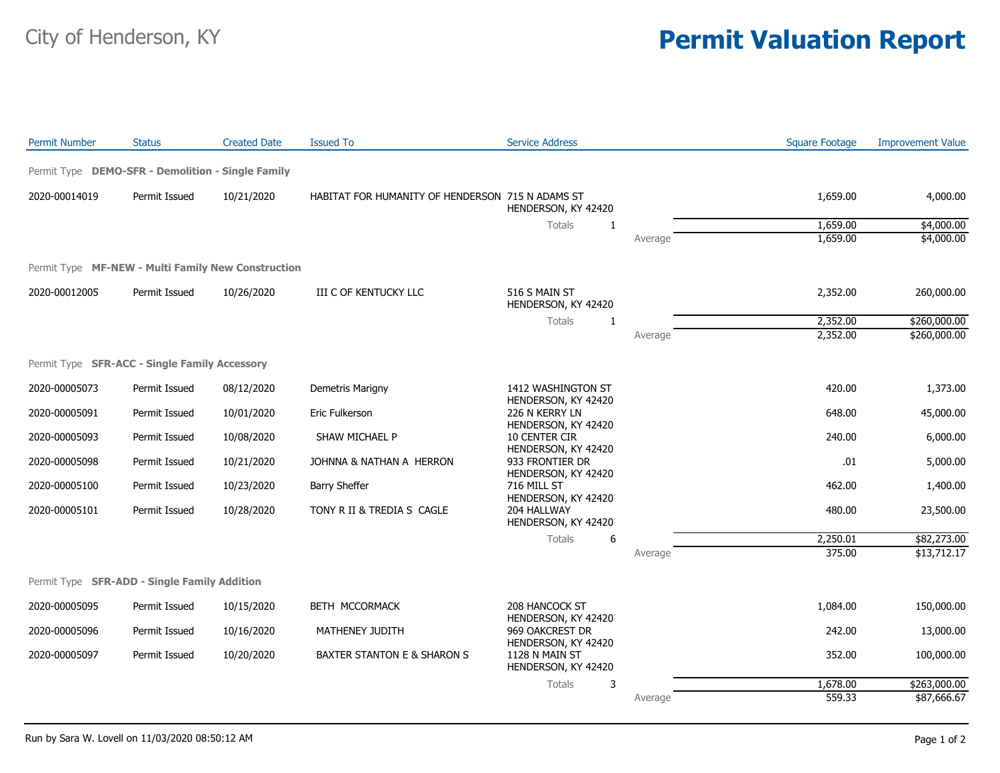## City of Henderson, KY **Permit Valuation Report**

| <b>Permit Number</b> | <b>Status</b>                                      | <b>Created Date</b> | <b>Issued To</b>                                 | <b>Service Address</b>                                       |         | <b>Square Footage</b> | <b>Improvement Value</b> |
|----------------------|----------------------------------------------------|---------------------|--------------------------------------------------|--------------------------------------------------------------|---------|-----------------------|--------------------------|
|                      | Permit Type DEMO-SFR - Demolition - Single Family  |                     |                                                  |                                                              |         |                       |                          |
| 2020-00014019        | Permit Issued                                      | 10/21/2020          | HABITAT FOR HUMANITY OF HENDERSON 715 N ADAMS ST | HENDERSON, KY 42420                                          |         | 1,659.00              | 4,000.00                 |
|                      |                                                    |                     |                                                  | Totals<br>$\mathbf{1}$                                       |         | 1,659.00              | \$4,000.00               |
|                      |                                                    |                     |                                                  |                                                              | Average | 1,659.00              | \$4,000.00               |
|                      | Permit Type MF-NEW - Multi Family New Construction |                     |                                                  |                                                              |         |                       |                          |
| 2020-00012005        | Permit Issued                                      | 10/26/2020          | III C OF KENTUCKY LLC                            | 516 S MAIN ST<br>HENDERSON, KY 42420                         |         | 2,352.00              | 260,000.00               |
|                      |                                                    |                     |                                                  | <b>Totals</b><br>$\mathbf{1}$                                |         | 2,352.00              | \$260,000.00             |
|                      |                                                    |                     |                                                  |                                                              | Average | 2,352.00              | \$260,000.00             |
|                      | Permit Type SFR-ACC - Single Family Accessory      |                     |                                                  |                                                              |         |                       |                          |
| 2020-00005073        | Permit Issued                                      | 08/12/2020          | Demetris Marigny                                 | 1412 WASHINGTON ST                                           |         | 420.00                | 1,373.00                 |
| 2020-00005091        | Permit Issued                                      | 10/01/2020          | Eric Fulkerson                                   | HENDERSON, KY 42420<br>226 N KERRY LN<br>HENDERSON, KY 42420 |         | 648.00                | 45,000.00                |
| 2020-00005093        | Permit Issued                                      | 10/08/2020          | SHAW MICHAEL P                                   | 10 CENTER CIR<br>HENDERSON, KY 42420                         |         | 240.00                | 6,000.00                 |
| 2020-00005098        | Permit Issued                                      | 10/21/2020          | JOHNNA & NATHAN A HERRON                         | 933 FRONTIER DR<br>HENDERSON, KY 42420                       |         | .01                   | 5,000.00                 |
| 2020-00005100        | Permit Issued                                      | 10/23/2020          | <b>Barry Sheffer</b>                             | 716 MILL ST<br>HENDERSON, KY 42420                           |         | 462.00                | 1,400.00                 |
| 2020-00005101        | Permit Issued                                      | 10/28/2020          | TONY R II & TREDIA S CAGLE                       | 204 HALLWAY<br>HENDERSON, KY 42420                           |         | 480.00                | 23,500.00                |
|                      |                                                    |                     |                                                  | Totals<br>6                                                  |         | 2,250.01              | \$82,273.00              |
|                      |                                                    |                     |                                                  |                                                              | Average | 375.00                | \$13,712.17              |
|                      | Permit Type SFR-ADD - Single Family Addition       |                     |                                                  |                                                              |         |                       |                          |
| 2020-00005095        | Permit Issued                                      | 10/15/2020          | BETH MCCORMACK                                   | 208 HANCOCK ST                                               |         | 1,084.00              | 150,000.00               |
| 2020-00005096        | Permit Issued                                      | 10/16/2020          | MATHENEY JUDITH                                  | HENDERSON, KY 42420<br>969 OAKCREST DR                       |         | 242.00                | 13,000.00                |
| 2020-00005097        | Permit Issued                                      | 10/20/2020          | BAXTER STANTON E & SHARON S                      | HENDERSON, KY 42420<br>1128 N MAIN ST<br>HENDERSON, KY 42420 |         | 352.00                | 100,000.00               |
|                      |                                                    |                     |                                                  | Totals<br>3                                                  |         | 1,678.00              | \$263,000.00             |
|                      |                                                    |                     |                                                  |                                                              | Average | 559.33                | \$87,666.67              |